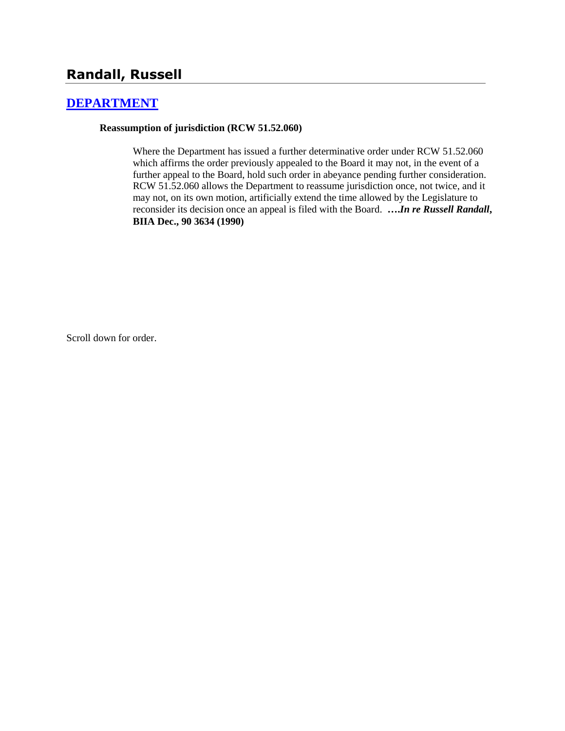# **Randall, Russell**

## **[DEPARTMENT](http://www.biia.wa.gov/SDSubjectIndex.html#DEPARTMENT)**

### **Reassumption of jurisdiction (RCW 51.52.060)**

Where the Department has issued a further determinative order under RCW 51.52.060 which affirms the order previously appealed to the Board it may not, in the event of a further appeal to the Board, hold such order in abeyance pending further consideration. RCW 51.52.060 allows the Department to reassume jurisdiction once, not twice, and it may not, on its own motion, artificially extend the time allowed by the Legislature to reconsider its decision once an appeal is filed with the Board. **….***In re Russell Randall***, BIIA Dec., 90 3634 (1990)** 

Scroll down for order.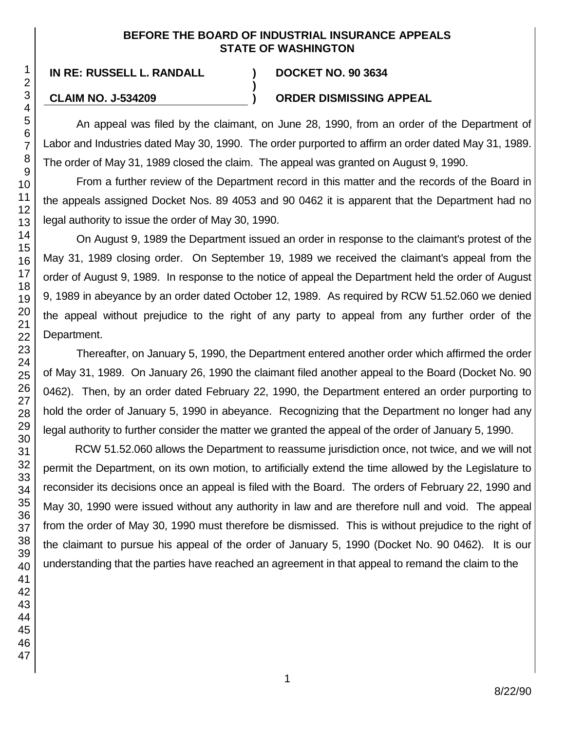## **BEFORE THE BOARD OF INDUSTRIAL INSURANCE APPEALS STATE OF WASHINGTON**

**)**

## **IN RE: RUSSELL L. RANDALL ) DOCKET NO. 90 3634**

## **CLAIM NO. J-534209 ) ORDER DISMISSING APPEAL**

An appeal was filed by the claimant, on June 28, 1990, from an order of the Department of Labor and Industries dated May 30, 1990. The order purported to affirm an order dated May 31, 1989. The order of May 31, 1989 closed the claim. The appeal was granted on August 9, 1990.

From a further review of the Department record in this matter and the records of the Board in the appeals assigned Docket Nos. 89 4053 and 90 0462 it is apparent that the Department had no legal authority to issue the order of May 30, 1990.

On August 9, 1989 the Department issued an order in response to the claimant's protest of the May 31, 1989 closing order. On September 19, 1989 we received the claimant's appeal from the order of August 9, 1989. In response to the notice of appeal the Department held the order of August 9, 1989 in abeyance by an order dated October 12, 1989. As required by RCW 51.52.060 we denied the appeal without prejudice to the right of any party to appeal from any further order of the Department.

Thereafter, on January 5, 1990, the Department entered another order which affirmed the order of May 31, 1989. On January 26, 1990 the claimant filed another appeal to the Board (Docket No. 90 0462). Then, by an order dated February 22, 1990, the Department entered an order purporting to hold the order of January 5, 1990 in abeyance. Recognizing that the Department no longer had any legal authority to further consider the matter we granted the appeal of the order of January 5, 1990.

RCW 51.52.060 allows the Department to reassume jurisdiction once, not twice, and we will not permit the Department, on its own motion, to artificially extend the time allowed by the Legislature to reconsider its decisions once an appeal is filed with the Board. The orders of February 22, 1990 and May 30, 1990 were issued without any authority in law and are therefore null and void. The appeal from the order of May 30, 1990 must therefore be dismissed. This is without prejudice to the right of the claimant to pursue his appeal of the order of January 5, 1990 (Docket No. 90 0462). It is our understanding that the parties have reached an agreement in that appeal to remand the claim to the